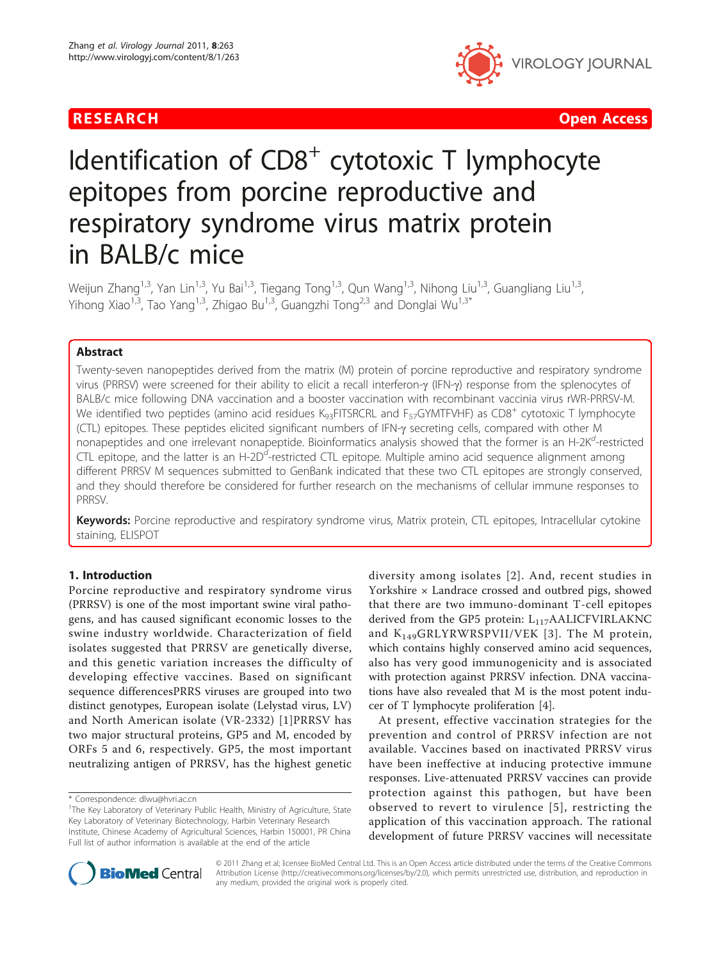

RESEARCH **CONTROL** CONTROL CONTROL CONTROL CONTROL CONTROL CONTROL CONTROL CONTROL CONTROL CONTROL CONTROL CONTROL

# Identification of  $CDS<sup>+</sup>$  cytotoxic T lymphocyte epitopes from porcine reproductive and respiratory syndrome virus matrix protein in BALB/c mice

Weijun Zhang<sup>1,3</sup>, Yan Lin<sup>1,3</sup>, Yu Bai<sup>1,3</sup>, Tiegang Tong<sup>1,3</sup>, Qun Wang<sup>1,3</sup>, Nihong Liu<sup>1,3</sup>, Guangliang Liu<sup>1,3</sup>, Yihong Xiao<sup>1,3</sup>, Tao Yang<sup>1,3</sup>, Zhigao Bu<sup>1,3</sup>, Guangzhi Tong<sup>2,3</sup> and Donglai Wu<sup>1,3\*</sup>

# Abstract

Twenty-seven nanopeptides derived from the matrix (M) protein of porcine reproductive and respiratory syndrome virus (PRRSV) were screened for their ability to elicit a recall interferon-g (IFN-g) response from the splenocytes of BALB/c mice following DNA vaccination and a booster vaccination with recombinant vaccinia virus rWR-PRRSV-M. We identified two peptides (amino acid residues K<sub>93</sub>FITSRCRL and F<sub>57</sub>GYMTFVHF) as CD8<sup>+</sup> cytotoxic T lymphocyte (CTL) epitopes. These peptides elicited significant numbers of IFN-g secreting cells, compared with other M nonapeptides and one irrelevant nonapeptide. Bioinformatics analysis showed that the former is an H-2K<sup>d</sup>-restricted CTL epitope, and the latter is an H-2D<sup>d</sup>-restricted CTL epitope. Multiple amino acid sequence alignment among different PRRSV M sequences submitted to GenBank indicated that these two CTL epitopes are strongly conserved, and they should therefore be considered for further research on the mechanisms of cellular immune responses to PRRSV.

Keywords: Porcine reproductive and respiratory syndrome virus, Matrix protein, CTL epitopes, Intracellular cytokine staining, ELISPOT

#### 1. Introduction

Porcine reproductive and respiratory syndrome virus (PRRSV) is one of the most important swine viral pathogens, and has caused significant economic losses to the swine industry worldwide. Characterization of field isolates suggested that PRRSV are genetically diverse, and this genetic variation increases the difficulty of developing effective vaccines. Based on significant sequence differencesPRRS viruses are grouped into two distinct genotypes, European isolate (Lelystad virus, LV) and North American isolate (VR-2332) [[1](#page-7-0)]PRRSV has two major structural proteins, GP5 and M, encoded by ORFs 5 and 6, respectively. GP5, the most important neutralizing antigen of PRRSV, has the highest genetic

\* Correspondence: [dlwu@hvri.ac.cn](mailto:dlwu@hvri.ac.cn)

diversity among isolates [[2](#page-7-0)]. And, recent studies in Yorkshire × Landrace crossed and outbred pigs, showed that there are two immuno-dominant T-cell epitopes derived from the GP5 protein:  $L_{117}$ AALICFVIRLAKNC and K149GRLYRWRSPVII/VEK [[3](#page-8-0)]. The M protein, which contains highly conserved amino acid sequences, also has very good immunogenicity and is associated with protection against PRRSV infection. DNA vaccinations have also revealed that M is the most potent inducer of T lymphocyte proliferation [\[4](#page-8-0)].

At present, effective vaccination strategies for the prevention and control of PRRSV infection are not available. Vaccines based on inactivated PRRSV virus have been ineffective at inducing protective immune responses. Live-attenuated PRRSV vaccines can provide protection against this pathogen, but have been observed to revert to virulence [[5\]](#page-8-0), restricting the application of this vaccination approach. The rational development of future PRRSV vaccines will necessitate



© 2011 Zhang et al; licensee BioMed Central Ltd. This is an Open Access article distributed under the terms of the Creative Commons Attribution License [\(http://creativecommons.org/licenses/by/2.0](http://creativecommons.org/licenses/by/2.0)), which permits unrestricted use, distribution, and reproduction in any medium, provided the original work is properly cited.

<sup>&</sup>lt;sup>1</sup>The Key Laboratory of Veterinary Public Health, Ministry of Agriculture, State Key Laboratory of Veterinary Biotechnology, Harbin Veterinary Research Institute, Chinese Academy of Agricultural Sciences, Harbin 150001, PR China Full list of author information is available at the end of the article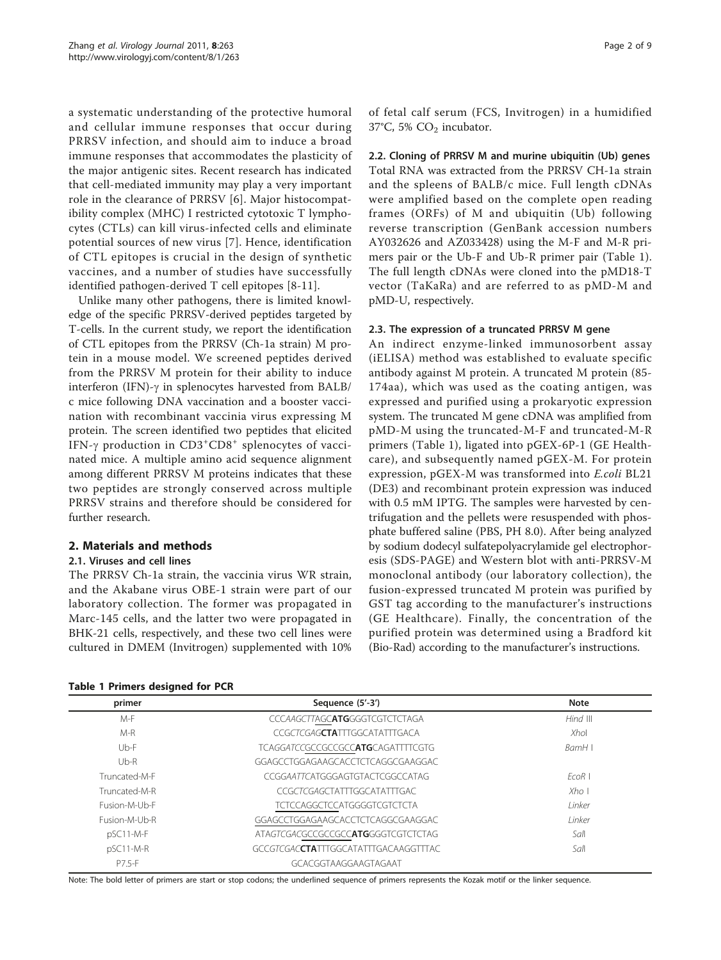<span id="page-1-0"></span>a systematic understanding of the protective humoral and cellular immune responses that occur during PRRSV infection, and should aim to induce a broad immune responses that accommodates the plasticity of the major antigenic sites. Recent research has indicated that cell-mediated immunity may play a very important role in the clearance of PRRSV [[6](#page-8-0)]. Major histocompatibility complex (MHC) I restricted cytotoxic T lymphocytes (CTLs) can kill virus-infected cells and eliminate potential sources of new virus [[7](#page-8-0)]. Hence, identification of CTL epitopes is crucial in the design of synthetic vaccines, and a number of studies have successfully identified pathogen-derived T cell epitopes [\[8](#page-8-0)-[11](#page-8-0)].

Unlike many other pathogens, there is limited knowledge of the specific PRRSV-derived peptides targeted by T-cells. In the current study, we report the identification of CTL epitopes from the PRRSV (Ch-1a strain) M protein in a mouse model. We screened peptides derived from the PRRSV M protein for their ability to induce interferon (IFN)- $\gamma$  in splenocytes harvested from BALB/ c mice following DNA vaccination and a booster vaccination with recombinant vaccinia virus expressing M protein. The screen identified two peptides that elicited IFN- $\gamma$  production in  $CD3^+CD8^+$  splenocytes of vacci-<br>nated mice. A multiple amino acid sequence alignment nated mice. A multiple amino acid sequence alignment among different PRRSV M proteins indicates that these two peptides are strongly conserved across multiple PRRSV strains and therefore should be considered for further research.

#### 2. Materials and methods

#### 2.1. Viruses and cell lines

The PRRSV Ch-1a strain, the vaccinia virus WR strain, and the Akabane virus OBE-1 strain were part of our laboratory collection. The former was propagated in Marc-145 cells, and the latter two were propagated in BHK-21 cells, respectively, and these two cell lines were cultured in DMEM (Invitrogen) supplemented with 10%

|  | <b>Table 1 Primers designed for PCR</b> |  |
|--|-----------------------------------------|--|
|  |                                         |  |

of fetal calf serum (FCS, Invitrogen) in a humidified 37°C, 5%  $CO<sub>2</sub>$  incubator.

2.2. Cloning of PRRSV M and murine ubiquitin (Ub) genes Total RNA was extracted from the PRRSV CH-1a strain and the spleens of BALB/c mice. Full length cDNAs were amplified based on the complete open reading frames (ORFs) of M and ubiquitin (Ub) following reverse transcription (GenBank accession numbers AY032626 and AZ033428) using the M-F and M-R primers pair or the Ub-F and Ub-R primer pair (Table 1). The full length cDNAs were cloned into the pMD18-T vector (TaKaRa) and are referred to as pMD-M and pMD-U, respectively.

#### 2.3. The expression of a truncated PRRSV M gene

An indirect enzyme-linked immunosorbent assay (iELISA) method was established to evaluate specific antibody against M protein. A truncated M protein (85- 174aa), which was used as the coating antigen, was expressed and purified using a prokaryotic expression system. The truncated M gene cDNA was amplified from pMD-M using the truncated-M-F and truncated-M-R primers (Table 1), ligated into pGEX-6P-1 (GE Healthcare), and subsequently named pGEX-M. For protein expression, pGEX-M was transformed into E.coli BL21 (DE3) and recombinant protein expression was induced with 0.5 mM IPTG. The samples were harvested by centrifugation and the pellets were resuspended with phosphate buffered saline (PBS, PH 8.0). After being analyzed by sodium dodecyl sulfatepolyacrylamide gel electrophoresis (SDS-PAGE) and Western blot with anti-PRRSV-M monoclonal antibody (our laboratory collection), the fusion-expressed truncated M protein was purified by GST tag according to the manufacturer's instructions (GE Healthcare). Finally, the concentration of the purified protein was determined using a Bradford kit (Bio-Rad) according to the manufacturer's instructions.

| primer        | Sequence (5'-3')                              | <b>Note</b><br>Hind III |  |  |
|---------------|-----------------------------------------------|-------------------------|--|--|
| M-F           | CCCAAGCTTAGCATGGGGTCGTCTCTAGA                 |                         |  |  |
| $M-R$         | CCGCTCGAG <b>CTA</b> TTTGGCATATTTGACA         | Xhol                    |  |  |
| $Ub-F$        | TCAGGATCCGCCGCCGCCATGCAGATTTTCGTG             | BamH I                  |  |  |
| $Ub-R$        | GGAGCCTGGAGAAGCACCTCTCAGGCGAAGGAC             |                         |  |  |
| Truncated-M-F | CCGGAATTCATGGGAGTGTACTCGGCCATAG               | FCOR                    |  |  |
| Truncated-M-R | CCGCTCGAGCTATTTGGCATATTTGAC                   | $X$ ho I                |  |  |
| Fusion-M-Ub-F | <b>TCTCCAGGCTCCATGGGGTCGTCTCTA</b>            | <i>I</i> inker          |  |  |
| Fusion-M-Ub-R | GGAGCCTGGAGAAGCACCTCTCAGGCGAAGGAC             | <i>Linker</i>           |  |  |
| $pSC11-M-F$   | ATAGTCGACGCCGCCGCCATGGGGTCGTCTCTAG            | Sall                    |  |  |
| $pSC11-M-R$   | GCCGTCGAC <b>CTA</b> TTTGGCATATTTGACAAGGTTTAC | Sall                    |  |  |
| P7.5-F        | GCACGGTAAGGAAGTAGAAT                          |                         |  |  |

Note: The bold letter of primers are start or stop codons; the underlined sequence of primers represents the Kozak motif or the linker sequence.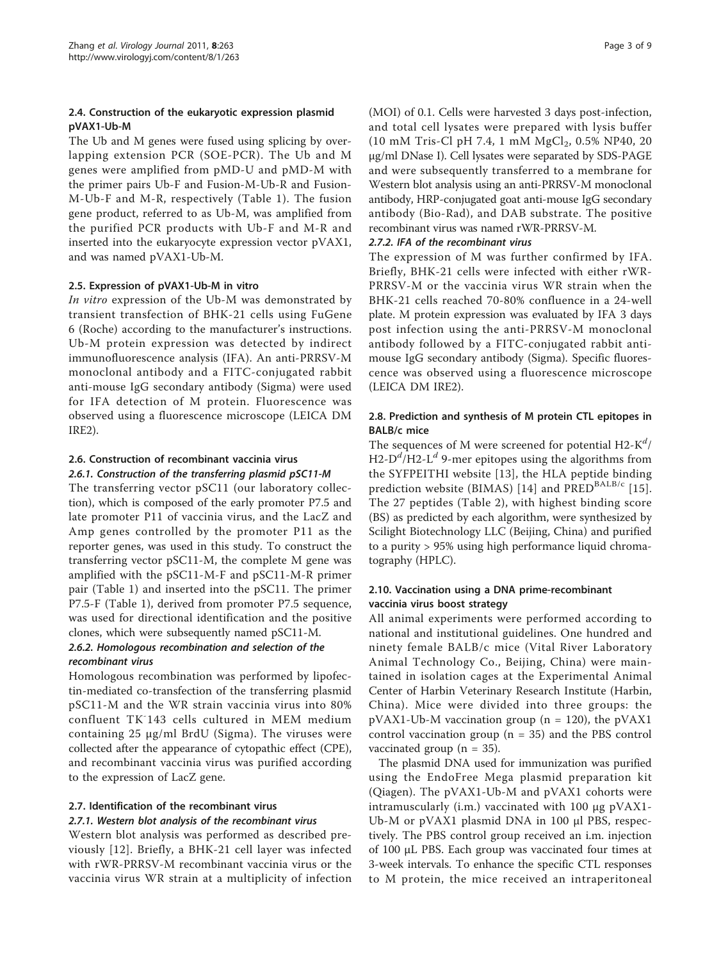### 2.4. Construction of the eukaryotic expression plasmid pVAX1-Ub-M

The Ub and M genes were fused using splicing by overlapping extension PCR (SOE-PCR). The Ub and M genes were amplified from pMD-U and pMD-M with the primer pairs Ub-F and Fusion-M-Ub-R and Fusion-M-Ub-F and M-R, respectively (Table [1](#page-1-0)). The fusion gene product, referred to as Ub-M, was amplified from the purified PCR products with Ub-F and M-R and inserted into the eukaryocyte expression vector pVAX1, and was named pVAX1-Ub-M.

#### 2.5. Expression of pVAX1-Ub-M in vitro

In vitro expression of the Ub-M was demonstrated by transient transfection of BHK-21 cells using FuGene 6 (Roche) according to the manufacturer's instructions. Ub-M protein expression was detected by indirect immunofluorescence analysis (IFA). An anti-PRRSV-M monoclonal antibody and a FITC-conjugated rabbit anti-mouse IgG secondary antibody (Sigma) were used for IFA detection of M protein. Fluorescence was observed using a fluorescence microscope (LEICA DM IRE2).

#### 2.6. Construction of recombinant vaccinia virus 2.6.1. Construction of the transferring plasmid pSC11-M

The transferring vector pSC11 (our laboratory collection), which is composed of the early promoter P7.5 and late promoter P11 of vaccinia virus, and the LacZ and Amp genes controlled by the promoter P11 as the reporter genes, was used in this study. To construct the transferring vector pSC11-M, the complete M gene was amplified with the pSC11-M-F and pSC11-M-R primer pair (Table [1](#page-1-0)) and inserted into the pSC11. The primer P7.5-F (Table [1](#page-1-0)), derived from promoter P7.5 sequence, was used for directional identification and the positive clones, which were subsequently named pSC11-M.

#### 2.6.2. Homologous recombination and selection of the recombinant virus

Homologous recombination was performed by lipofectin-mediated co-transfection of the transferring plasmid pSC11-M and the WR strain vaccinia virus into 80% confluent TK-143 cells cultured in MEM medium containing 25 μg/ml BrdU (Sigma). The viruses were collected after the appearance of cytopathic effect (CPE), and recombinant vaccinia virus was purified according to the expression of LacZ gene.

# 2.7. Identification of the recombinant virus

#### 2.7.1. Western blot analysis of the recombinant virus

Western blot analysis was performed as described previously [[12\]](#page-8-0). Briefly, a BHK-21 cell layer was infected with rWR-PRRSV-M recombinant vaccinia virus or the vaccinia virus WR strain at a multiplicity of infection

(MOI) of 0.1. Cells were harvested 3 days post-infection, and total cell lysates were prepared with lysis buffer (10 mM Tris-Cl pH 7.4, 1 mM MgCl<sub>2</sub>, 0.5% NP40, 20 μg/ml DNase I). Cell lysates were separated by SDS-PAGE and were subsequently transferred to a membrane for Western blot analysis using an anti-PRRSV-M monoclonal antibody, HRP-conjugated goat anti-mouse IgG secondary antibody (Bio-Rad), and DAB substrate. The positive recombinant virus was named rWR-PRRSV-M.

#### 2.7.2. IFA of the recombinant virus

The expression of M was further confirmed by IFA. Briefly, BHK-21 cells were infected with either rWR-PRRSV-M or the vaccinia virus WR strain when the BHK-21 cells reached 70-80% confluence in a 24-well plate. M protein expression was evaluated by IFA 3 days post infection using the anti-PRRSV-M monoclonal antibody followed by a FITC-conjugated rabbit antimouse IgG secondary antibody (Sigma). Specific fluorescence was observed using a fluorescence microscope (LEICA DM IRE2).

### 2.8. Prediction and synthesis of M protein CTL epitopes in BALB/c mice

The sequences of M were screened for potential  $H2-K^{d}/$ H2- $D^d$ /H2-L<sup>d</sup> 9-mer epitopes using the algorithms from the SYFPEITHI website [\[13\]](#page-8-0), the HLA peptide binding prediction website (BIMAS) [[14\]](#page-8-0) and PRED<sup>BALB/c</sup> [[15](#page-8-0)]. The 27 peptides (Table [2](#page-3-0)), with highest binding score (BS) as predicted by each algorithm, were synthesized by Scilight Biotechnology LLC (Beijing, China) and purified to a purity > 95% using high performance liquid chromatography (HPLC).

#### 2.10. Vaccination using a DNA prime-recombinant vaccinia virus boost strategy

All animal experiments were performed according to national and institutional guidelines. One hundred and ninety female BALB/c mice (Vital River Laboratory Animal Technology Co., Beijing, China) were maintained in isolation cages at the Experimental Animal Center of Harbin Veterinary Research Institute (Harbin, China). Mice were divided into three groups: the  $pVAX1-Ub-M$  vaccination group ( $n = 120$ ), the  $pVAX1$ control vaccination group ( $n = 35$ ) and the PBS control vaccinated group ( $n = 35$ ).

The plasmid DNA used for immunization was purified using the EndoFree Mega plasmid preparation kit (Qiagen). The pVAX1-Ub-M and pVAX1 cohorts were intramuscularly (i.m.) vaccinated with 100 μg pVAX1- Ub-M or pVAX1 plasmid DNA in 100 μl PBS, respectively. The PBS control group received an i.m. injection of 100 μL PBS. Each group was vaccinated four times at 3-week intervals. To enhance the specific CTL responses to M protein, the mice received an intraperitoneal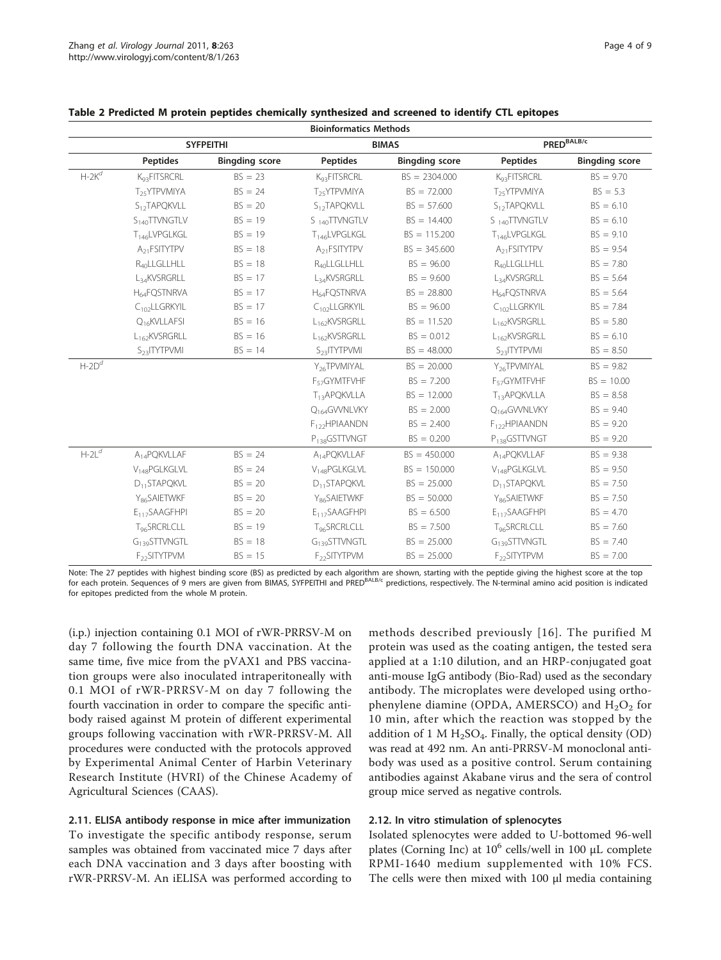| <b>Bioinformatics Methods</b> |                       |                           |                       |                           |                       |  |  |  |  |  |
|-------------------------------|-----------------------|---------------------------|-----------------------|---------------------------|-----------------------|--|--|--|--|--|
| <b>SYFPEITHI</b>              |                       | <b>BIMAS</b>              |                       | PRED <sup>BALB/c</sup>    |                       |  |  |  |  |  |
| <b>Peptides</b>               | <b>Bingding score</b> | <b>Peptides</b>           | <b>Bingding score</b> | <b>Peptides</b>           | <b>Bingding score</b> |  |  |  |  |  |
| K <sub>Q3</sub> FITSRCRL      | $BS = 23$             | K <sub>93</sub> FITSRCRL  | $BS = 2304.000$       | K <sub>93</sub> FITSRCRL  | $BS = 9.70$           |  |  |  |  |  |
| T <sub>25</sub> YTPVMIYA      | $BS = 24$             | T <sub>25</sub> YTPVMIYA  | $BS = 72.000$         | T <sub>25</sub> YTPVMIYA  | $BS = 5.3$            |  |  |  |  |  |
| S <sub>12</sub> TAPQKVLL      | $BS = 20$             | S <sub>12</sub> TAPQKVLL  | $BS = 57.600$         | S <sub>12</sub> TAPQKVLL  | $BS = 6.10$           |  |  |  |  |  |
| S <sub>140</sub> TTVNGTLV     | $BS = 19$             | S <sub>140</sub> TTVNGTLV | $BS = 14.400$         | S <sub>140</sub> TTVNGTLV | $BS = 6.10$           |  |  |  |  |  |
| T <sub>146</sub> LVPGLKGL     | $BS = 19$             | T <sub>146</sub> LVPGLKGL | $BS = 115.200$        | T <sub>146</sub> LVPGLKGL | $BS = 9.10$           |  |  |  |  |  |
| A <sub>21</sub> FSITYTPV      | $BS = 18$             | A <sub>21</sub> FSITYTPV  | $BS = 345.600$        | A <sub>21</sub> FSITYTPV  | $BS = 9.54$           |  |  |  |  |  |
| R <sub>40</sub> LLGLLHLL      | $BS = 18$             | R <sub>40</sub> LLGLLHLL  | $BS = 96.00$          | R40LLGLLHLL               | $BS = 7.80$           |  |  |  |  |  |
| L <sub>34</sub> KVSRGRLL      | $BS = 17$             | $L_{34}$ KVSRGRLL         | $BS = 9.600$          | L <sub>34</sub> KVSRGRLL  | $BS = 5.64$           |  |  |  |  |  |
| H <sub>64</sub> FQSTNRVA      | $BS = 17$             | H <sub>64</sub> FQSTNRVA  | $BS = 28.800$         | H <sub>64</sub> FQSTNRVA  | $BS = 5.64$           |  |  |  |  |  |
| $C_{102}$ LLGRKYIL            | $BS = 17$             | $C_{102}$ LLGRKYIL        | $BS = 96.00$          | $C_{102}$ LLGRKYIL        | $BS = 7.84$           |  |  |  |  |  |
| Q <sub>16</sub> KVLLAFSI      | $BS = 16$             | L <sub>162</sub> KVSRGRLL | $BS = 11.520$         | L162KVSRGRLL              | $BS = 5.80$           |  |  |  |  |  |
| L162KVSRGRLL                  | $BS = 16$             | $L_{162}$ KVSRGRLL        | $BS = 0.012$          | L162KVSRGRLL              | $BS = 6.10$           |  |  |  |  |  |
| S <sub>23</sub> ITYTPVMI      | $BS = 14$             | S <sub>23</sub> ITYTPVMI  | $BS = 48.000$         | S <sub>23</sub> ITYTPVMI  | $BS = 8.50$           |  |  |  |  |  |
|                               |                       | Y <sub>26</sub> TPVMIYAL  | $BS = 20.000$         | Y <sub>26</sub> TPVMIYAL  | $BS = 9.82$           |  |  |  |  |  |
|                               |                       | F <sub>57</sub> GYMTFVHF  | $BS = 7.200$          | F <sub>57</sub> GYMTFVHF  | $BS = 10.00$          |  |  |  |  |  |
|                               |                       | T <sub>13</sub> APQKVLLA  | $BS = 12.000$         | T <sub>13</sub> APQKVLLA  | $BS = 8.58$           |  |  |  |  |  |
|                               |                       | Q <sub>164</sub> GWNLVKY  | $BS = 2.000$          | Q <sub>164</sub> GWNLVKY  | $BS = 9.40$           |  |  |  |  |  |
|                               |                       | F <sub>122</sub> HPIAANDN | $BS = 2.400$          | $F_{122}$ HPIAANDN        | $BS = 9.20$           |  |  |  |  |  |
|                               |                       | P <sub>138</sub> GSTTVNGT | $BS = 0.200$          | P <sub>138</sub> GSTTVNGT | $BS = 9.20$           |  |  |  |  |  |
| A <sub>14</sub> PQKVLLAF      | $BS = 24$             | A <sub>14</sub> PQKVLLAF  | $BS = 450.000$        | A <sub>14</sub> PQKVLLAF  | $BS = 9.38$           |  |  |  |  |  |
| V <sub>148</sub> PGLKGLVL     | $BS = 24$             | V <sub>148</sub> PGLKGLVL | $BS = 150.000$        | V <sub>148</sub> PGLKGLVL | $BS = 9.50$           |  |  |  |  |  |
| $D_{11}$ STAPQKVL             | $BS = 20$             | $D_{11}$ STAPQKVL         | $BS = 25.000$         | $D_{11}$ STAPQKVL         | $BS = 7.50$           |  |  |  |  |  |
| Y <sub>86</sub> SAIETWKF      | $BS = 20$             | Y <sub>86</sub> SAIETWKF  | $BS = 50.000$         | Y <sub>86</sub> SAIETWKF  | $BS = 7.50$           |  |  |  |  |  |
| $E_{117}SAAGFHPI$             | $BS = 20$             | $E_{117}SAAGFHPI$         | $BS = 6.500$          | $E_{117}SAAGFHPI$         | $BS = 4.70$           |  |  |  |  |  |
| T <sub>96</sub> SRCRLCLL      | $BS = 19$             | T <sub>96</sub> SRCRLCLL  | $BS = 7.500$          | T <sub>96</sub> SRCRLCLL  | $BS = 7.60$           |  |  |  |  |  |
| G <sub>139</sub> STTVNGTL     | $BS = 18$             | G <sub>139</sub> STTVNGTL | $BS = 25.000$         | G <sub>139</sub> STTVNGTL | $BS = 7.40$           |  |  |  |  |  |
| F <sub>22</sub> SITYTPVM      | $BS = 15$             | F <sub>22</sub> SITYTPVM  | $BS = 25.000$         | F <sub>22</sub> SITYTPVM  | $BS = 7.00$           |  |  |  |  |  |
|                               |                       |                           |                       |                           |                       |  |  |  |  |  |

#### <span id="page-3-0"></span>Table 2 Predicted M protein peptides chemically synthesized and screened to identify CTL epitopes

Note: The 27 peptides with highest binding score (BS) as predicted by each algorithm are shown, starting with the peptide giving the highest score at the top for each protein. Sequences of 9 mers are given from BIMAS, SYFPEITHI and PRED<sup>BALB/c</sup> predictions, respectively. The N-terminal amino acid position is indicated for epitopes predicted from the whole M protein.

(i.p.) injection containing 0.1 MOI of rWR-PRRSV-M on day 7 following the fourth DNA vaccination. At the same time, five mice from the pVAX1 and PBS vaccination groups were also inoculated intraperitoneally with 0.1 MOI of rWR-PRRSV-M on day 7 following the fourth vaccination in order to compare the specific antibody raised against M protein of different experimental groups following vaccination with rWR-PRRSV-M. All procedures were conducted with the protocols approved by Experimental Animal Center of Harbin Veterinary Research Institute (HVRI) of the Chinese Academy of Agricultural Sciences (CAAS).

# 2.11. ELISA antibody response in mice after immunization

To investigate the specific antibody response, serum samples was obtained from vaccinated mice 7 days after each DNA vaccination and 3 days after boosting with rWR-PRRSV-M. An iELISA was performed according to

methods described previously [[16](#page-8-0)]. The purified M protein was used as the coating antigen, the tested sera applied at a 1:10 dilution, and an HRP-conjugated goat anti-mouse IgG antibody (Bio-Rad) used as the secondary antibody. The microplates were developed using orthophenylene diamine (OPDA, AMERSCO) and  $H_2O_2$  for 10 min, after which the reaction was stopped by the addition of 1 M  $H_2SO_4$ . Finally, the optical density (OD) was read at 492 nm. An anti-PRRSV-M monoclonal antibody was used as a positive control. Serum containing antibodies against Akabane virus and the sera of control group mice served as negative controls.

#### 2.12. In vitro stimulation of splenocytes

Isolated splenocytes were added to U-bottomed 96-well plates (Corning Inc) at  $10^6$  cells/well in 100  $\mu$ L complete RPMI-1640 medium supplemented with 10% FCS. The cells were then mixed with 100 μl media containing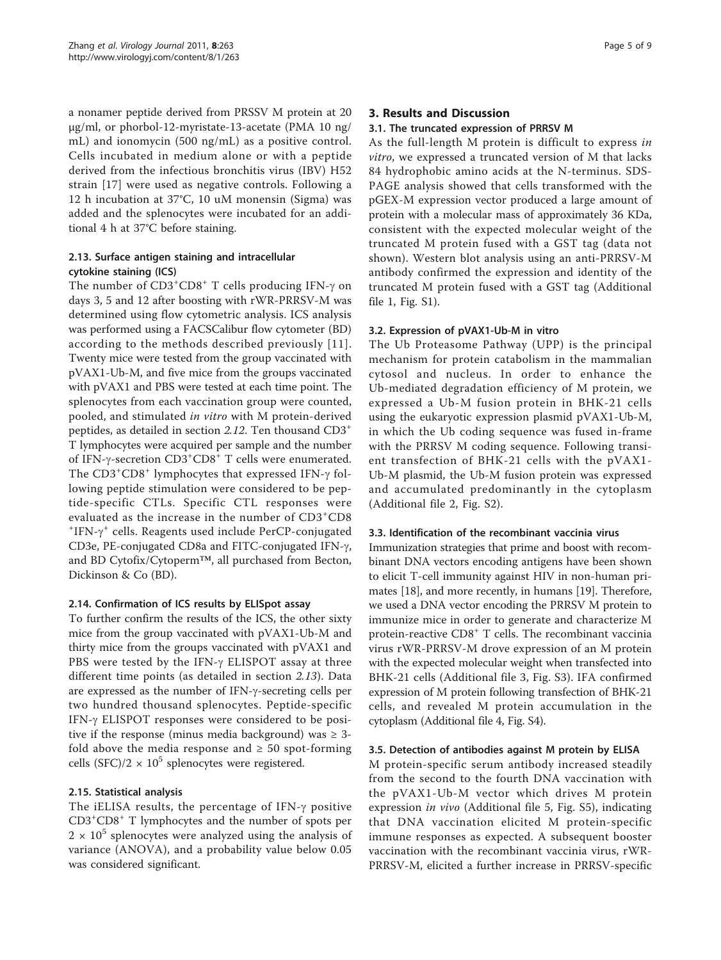a nonamer peptide derived from PRSSV M protein at 20 μg/ml, or phorbol-12-myristate-13-acetate (PMA 10 ng/ mL) and ionomycin (500 ng/mL) as a positive control. Cells incubated in medium alone or with a peptide derived from the infectious bronchitis virus (IBV) H52 strain [\[17\]](#page-8-0) were used as negative controls. Following a 12 h incubation at 37°C, 10 uM monensin (Sigma) was added and the splenocytes were incubated for an additional 4 h at 37°C before staining.

# 2.13. Surface antigen staining and intracellular cytokine staining (ICS)

The number of CD3<sup>+</sup>CD8<sup>+</sup> T cells producing IFN-γ on<br>days 3, 5 and 12 after boosting with rWR-PRRSV-M was days 3, 5 and 12 after boosting with rWR-PRRSV-M was determined using flow cytometric analysis. ICS analysis was performed using a FACSCalibur flow cytometer (BD) according to the methods described previously [[11\]](#page-8-0). Twenty mice were tested from the group vaccinated with pVAX1-Ub-M, and five mice from the groups vaccinated with pVAX1 and PBS were tested at each time point. The splenocytes from each vaccination group were counted, pooled, and stimulated in vitro with M protein-derived peptides, as detailed in section 2.12. Ten thousand CD3<sup>+</sup> T lymphocytes were acquired per sample and the number of IFN- $\gamma$ -secretion  $CD3^+CD8^+$  T cells were enumerated.<br>The  $CD3^+CD8^+$  lymphocytes that expressed IFN- $\gamma$  fol-The  $CD3^+CD8^+$  lymphocytes that expressed IFN- $\gamma$  fol-<br>lowing pentide stimulation were considered to be penlowing peptide stimulation were considered to be peptide-specific CTLs. Specific CTL responses were evaluated as the increase in the number of CD3<sup>+</sup>CD8<sup>+</sup>  $IFN-\gamma^+$  cells. Reagents used include PerCP-conjugated<br>
TD3e, PE-conjugated CD8a and EITC-conjugated  $IEN-\gamma^+$ CD3e, PE-conjugated CD8a and FITC-conjugated IFN-γ, and BD Cytofix/Cytoperm™, all purchased from Becton, Dickinson & Co (BD).

# 2.14. Confirmation of ICS results by ELISpot assay

To further confirm the results of the ICS, the other sixty mice from the group vaccinated with pVAX1-Ub-M and thirty mice from the groups vaccinated with pVAX1 and PBS were tested by the IFN- $\gamma$  ELISPOT assay at three different time points (as detailed in section 2.13). Data are expressed as the number of IFN-g-secreting cells per two hundred thousand splenocytes. Peptide-specific IFN- $\gamma$  ELISPOT responses were considered to be positive if the response (minus media background) was  $\geq$  3fold above the media response and  $\geq 50$  spot-forming cells (SFC)/2  $\times$  10<sup>5</sup> splenocytes were registered.

# 2.15. Statistical analysis

The iELISA results, the percentage of IFN- $\gamma$  positive CD3<sup>+</sup> CD8<sup>+</sup> T lymphocytes and the number of spots per  $2 \times 10^5$  splenocytes were analyzed using the analysis of variance (ANOVA), and a probability value below 0.05 was considered significant.

#### 3. Results and Discussion

#### 3.1. The truncated expression of PRRSV M

As the full-length M protein is difficult to express in vitro, we expressed a truncated version of M that lacks 84 hydrophobic amino acids at the N-terminus. SDS-PAGE analysis showed that cells transformed with the pGEX-M expression vector produced a large amount of protein with a molecular mass of approximately 36 KDa, consistent with the expected molecular weight of the truncated M protein fused with a GST tag (data not shown). Western blot analysis using an anti-PRRSV-M antibody confirmed the expression and identity of the truncated M protein fused with a GST tag (Additional file [1](#page-7-0), Fig. S1).

#### 3.2. Expression of pVAX1-Ub-M in vitro

The Ub Proteasome Pathway (UPP) is the principal mechanism for protein catabolism in the mammalian cytosol and nucleus. In order to enhance the Ub-mediated degradation efficiency of M protein, we expressed a Ub-M fusion protein in BHK-21 cells using the eukaryotic expression plasmid pVAX1-Ub-M, in which the Ub coding sequence was fused in-frame with the PRRSV M coding sequence. Following transient transfection of BHK-21 cells with the pVAX1- Ub-M plasmid, the Ub-M fusion protein was expressed and accumulated predominantly in the cytoplasm (Additional file [2](#page-7-0), Fig. S2).

#### 3.3. Identification of the recombinant vaccinia virus

Immunization strategies that prime and boost with recombinant DNA vectors encoding antigens have been shown to elicit T-cell immunity against HIV in non-human primates [\[18](#page-8-0)], and more recently, in humans [[19\]](#page-8-0). Therefore, we used a DNA vector encoding the PRRSV M protein to immunize mice in order to generate and characterize M protein-reactive CD8<sup>+</sup> T cells. The recombinant vaccinia virus rWR-PRRSV-M drove expression of an M protein with the expected molecular weight when transfected into BHK-21 cells (Additional file [3,](#page-7-0) Fig. S3). IFA confirmed expression of M protein following transfection of BHK-21 cells, and revealed M protein accumulation in the cytoplasm (Additional file [4,](#page-7-0) Fig. S4).

#### 3.5. Detection of antibodies against M protein by ELISA

M protein-specific serum antibody increased steadily from the second to the fourth DNA vaccination with the pVAX1-Ub-M vector which drives M protein expression in vivo (Additional file [5,](#page-7-0) Fig. S5), indicating that DNA vaccination elicited M protein-specific immune responses as expected. A subsequent booster vaccination with the recombinant vaccinia virus, rWR-PRRSV-M, elicited a further increase in PRRSV-specific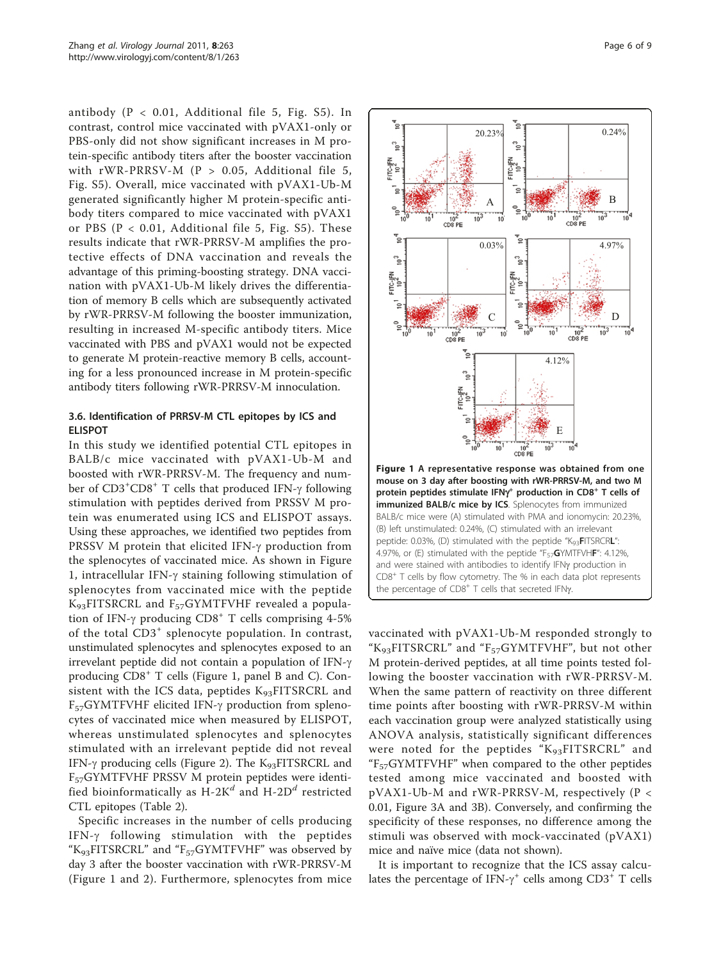antibody ( $P < 0.01$ , Additional file [5](#page-7-0), Fig. S5). In contrast, control mice vaccinated with pVAX1-only or PBS-only did not show significant increases in M protein-specific antibody titers after the booster vaccination with rWR-PRRSV-M (P > 0.05, Additional file [5](#page-7-0), Fig. S5). Overall, mice vaccinated with pVAX1-Ub-M generated significantly higher M protein-specific antibody titers compared to mice vaccinated with pVAX1 or PBS ( $P < 0.01$ , Additional file [5](#page-7-0), Fig. S5). These results indicate that rWR-PRRSV-M amplifies the protective effects of DNA vaccination and reveals the advantage of this priming-boosting strategy. DNA vaccination with pVAX1-Ub-M likely drives the differentiation of memory B cells which are subsequently activated by rWR-PRRSV-M following the booster immunization, resulting in increased M-specific antibody titers. Mice vaccinated with PBS and pVAX1 would not be expected to generate M protein-reactive memory B cells, accounting for a less pronounced increase in M protein-specific antibody titers following rWR-PRRSV-M innoculation.

#### 3.6. Identification of PRRSV-M CTL epitopes by ICS and ELISPOT

In this study we identified potential CTL epitopes in BALB/c mice vaccinated with pVAX1-Ub-M and boosted with rWR-PRRSV-M. The frequency and number of CD3<sup>+</sup>CD8<sup>+</sup> T cells that produced IFN- $\gamma$  following<br>stimulation with pentides derived from PRSSV M prostimulation with peptides derived from PRSSV M protein was enumerated using ICS and ELISPOT assays. Using these approaches, we identified two peptides from PRSSV M protein that elicited IFN- $\gamma$  production from the splenocytes of vaccinated mice. As shown in Figure 1, intracellular IFN- $\gamma$  staining following stimulation of splenocytes from vaccinated mice with the peptide K93FITSRCRL and F57GYMTFVHF revealed a population of IFN- $\gamma$  producing CD8<sup>+</sup> T cells comprising 4-5% of the total CD3<sup>+</sup> splenocyte population. In contrast, unstimulated splenocytes and splenocytes exposed to an irrevelant peptide did not contain a population of IFN- $\gamma$ producing CD8<sup>+</sup> T cells (Figure 1, panel B and C). Consistent with the ICS data, peptides K<sub>93</sub>FITSRCRL and  $F_{57}GYMTFVHF$  elicited IFN- $\gamma$  production from splenocytes of vaccinated mice when measured by ELISPOT, whereas unstimulated splenocytes and splenocytes stimulated with an irrelevant peptide did not reveal IFN- $\gamma$  producing cells (Figure [2](#page-6-0)). The K<sub>93</sub>FITSRCRL and F57GYMTFVHF PRSSV M protein peptides were identified bioinformatically as H-2K<sup>d</sup> and H-2D<sup>d</sup> restricted CTL epitopes (Table [2\)](#page-3-0).

Specific increases in the number of cells producing IFN- $\gamma$  following stimulation with the peptides " $K_{93}$ FITSRCRL" and " $F_{57}$ GYMTFVHF" was observed by day 3 after the booster vaccination with rWR-PRRSV-M (Figure 1 and [2\)](#page-6-0). Furthermore, splenocytes from mice



vaccinated with pVAX1-Ub-M responded strongly to " $K_{93}$ FITSRCRL" and " $F_{57}$ GYMTFVHF", but not other M protein-derived peptides, at all time points tested following the booster vaccination with rWR-PRRSV-M. When the same pattern of reactivity on three different time points after boosting with rWR-PRRSV-M within each vaccination group were analyzed statistically using ANOVA analysis, statistically significant differences were noted for the peptides "K<sub>93</sub>FITSRCRL" and " $F_{57}$ GYMTFVHF" when compared to the other peptides tested among mice vaccinated and boosted with pVAX1-Ub-M and rWR-PRRSV-M, respectively (P < 0.01, Figure [3A](#page-6-0) and [3B](#page-6-0)). Conversely, and confirming the specificity of these responses, no difference among the stimuli was observed with mock-vaccinated (pVAX1) mice and naïve mice (data not shown).

the percentage of  $CDB<sup>+</sup>$  T cells that secreted IFN $\gamma$ .

It is important to recognize that the ICS assay calculates the percentage of IFN- $\gamma^+$  cells among CD3<sup>+</sup> T cells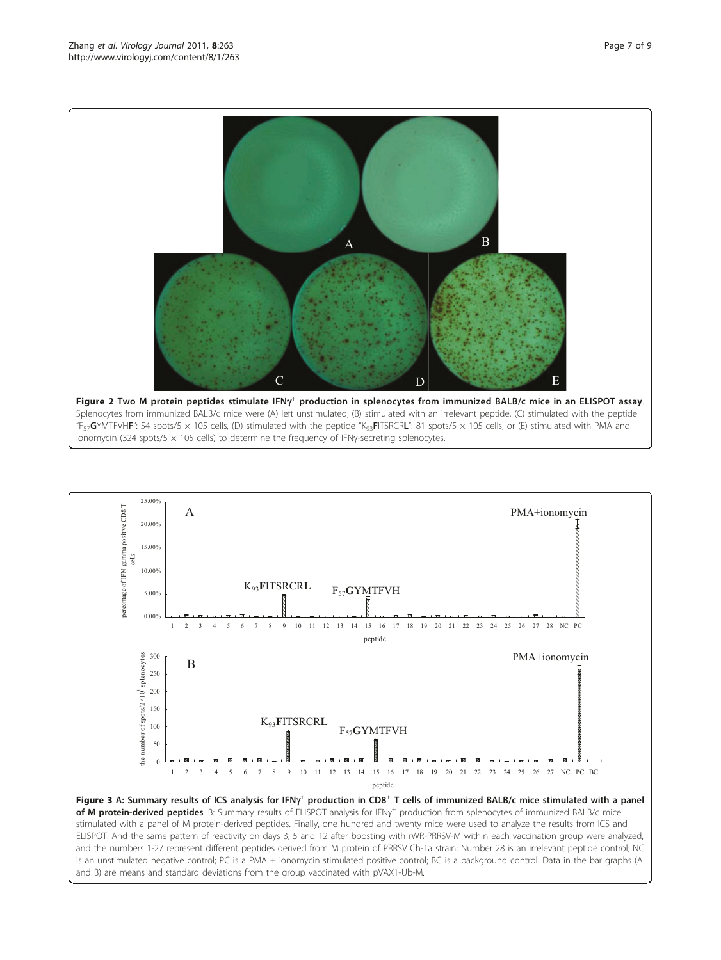<span id="page-6-0"></span>

25.00% percentage of IFN gamma positive CD8 T A PMA+ionomycin percentage of IFN gamma positive CD8 20.00% 15.00% cells 10.00% K93**F**ITSRCR**<sup>L</sup>** F57**G**YMTFVH 5.00% 0.00% 1 2 3 4 5 6 7 8 9 10 11 12 13 14 15 16 17 18 19 20 21 22 23 24 25 26 27 28 NC PC peptide splenocytes 300 PMA+ionomycin B the number of spots/2 $\times$ 10<sup>5</sup> splenocytes  $250$ 200 the number of spots/ $2 \times 10^5$ 150 K93**F**ITSRCR**L** 100 F57**G**YMTFVH 50  $\overline{0}$ 1 2 3 4 5 6 7 8 9 10 11 12 13 14 15 16 17 18 19 20 21 22 23 24 25 26 27 NC PC BC peptide

**Figure 3 A: Summary results of ICS analysis for IFNy<sup>+</sup> production in CD8<sup>+</sup> T cells of immunized BALB/c mice stimulated with a panel<br>of M protein-derived pentides B: Summary results of ELISPOT analysis for IENy<sup>+</sup> produ** of M protein-derived peptides. B: Summary results of ELISPOT analysis for IFNy<sup>+</sup> production from splenocytes of immunized BALB/c mice<br>stimulated with a papel of M protein-derived poptides. Finally, one bundred and twenty stimulated with a panel of M protein-derived peptides. Finally, one hundred and twenty mice were used to analyze the results from ICS and ELISPOT. And the same pattern of reactivity on days 3, 5 and 12 after boosting with rWR-PRRSV-M within each vaccination group were analyzed, and the numbers 1-27 represent different peptides derived from M protein of PRRSV Ch-1a strain; Number 28 is an irrelevant peptide control; NC is an unstimulated negative control; PC is a PMA + ionomycin stimulated positive control; BC is a background control. Data in the bar graphs (A and B) are means and standard deviations from the group vaccinated with pVAX1-Ub-M.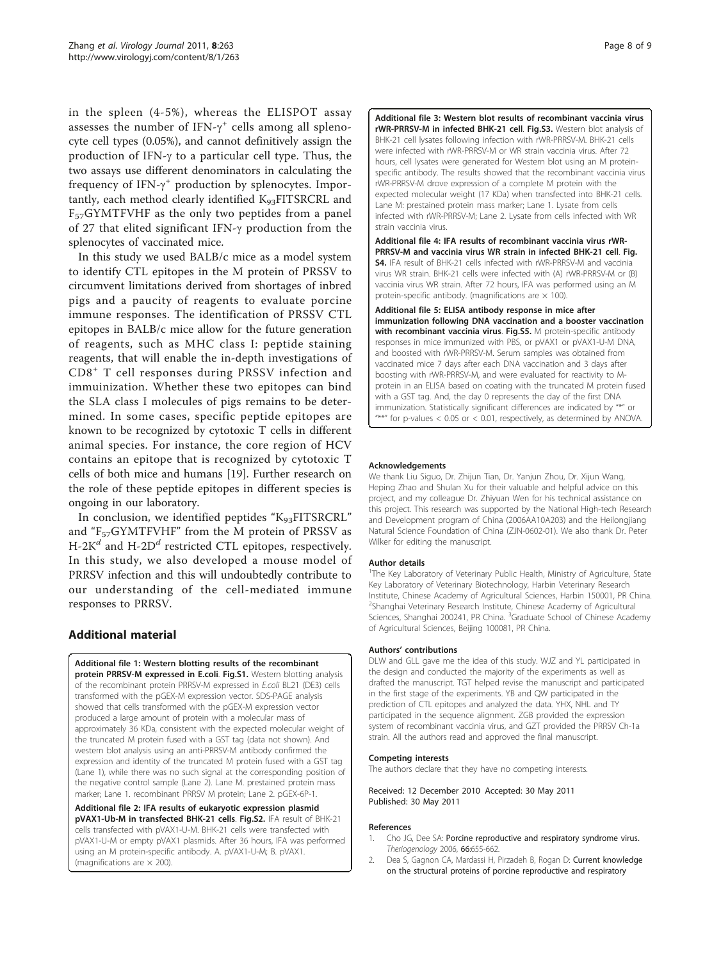<span id="page-7-0"></span>in the spleen (4-5%), whereas the ELISPOT assay assesses the number of IFN- $\gamma^+$  cells among all spleno-<br>cyte cell types (0.05%), and cannot definitively assign the cyte cell types (0.05%), and cannot definitively assign the production of IFN- $\gamma$  to a particular cell type. Thus, the two assays use different denominators in calculating the frequency of IFN- $\gamma^+$  production by splenocytes. Impor-<br>tantly, each method clearly identified K. FITSRCRI, and tantly, each method clearly identified K93FITSRCRL and  $F_{57}GYMTFVHF$  as the only two peptides from a panel of 27 that elited significant IFN- $\gamma$  production from the splenocytes of vaccinated mice.

In this study we used BALB/c mice as a model system to identify CTL epitopes in the M protein of PRSSV to circumvent limitations derived from shortages of inbred pigs and a paucity of reagents to evaluate porcine immune responses. The identification of PRSSV CTL epitopes in BALB/c mice allow for the future generation of reagents, such as MHC class I: peptide staining reagents, that will enable the in-depth investigations of CD8<sup>+</sup> T cell responses during PRSSV infection and immuinization. Whether these two epitopes can bind the SLA class I molecules of pigs remains to be determined. In some cases, specific peptide epitopes are known to be recognized by cytotoxic T cells in different animal species. For instance, the core region of HCV contains an epitope that is recognized by cytotoxic T cells of both mice and humans [[19](#page-8-0)]. Further research on the role of these peptide epitopes in different species is ongoing in our laboratory.

In conclusion, we identified peptides "K<sub>93</sub>FITSRCRL" and " $F_{57}GYMTFVHF"$  from the M protein of PRSSV as H-2K<sup>d</sup> and H-2D<sup>d</sup> restricted CTL epitopes, respectively. In this study, we also developed a mouse model of PRRSV infection and this will undoubtedly contribute to our understanding of the cell-mediated immune responses to PRRSV.

# Additional material

[Additional file 1: W](http://www.biomedcentral.com/content/supplementary/1743-422X-8-263-S1.DOC)estern blotting results of the recombinant protein PRRSV-M expressed in E.coli. Fig.S1. Western blotting analysis of the recombinant protein PRRSV-M expressed in E.coli BL21 (DE3) cells transformed with the pGEX-M expression vector. SDS-PAGE analysis showed that cells transformed with the pGEX-M expression vector produced a large amount of protein with a molecular mass of approximately 36 KDa, consistent with the expected molecular weight of the truncated M protein fused with a GST tag (data not shown). And western blot analysis using an anti-PRRSV-M antibody confirmed the expression and identity of the truncated M protein fused with a GST tag (Lane 1), while there was no such signal at the corresponding position of the negative control sample (Lane 2). Lane M. prestained protein mass marker; Lane 1. recombinant PRRSV M protein; Lane 2. pGEX-6P-1.

[Additional file 2: I](http://www.biomedcentral.com/content/supplementary/1743-422X-8-263-S2.DOC)FA results of eukaryotic expression plasmid pVAX1-Ub-M in transfected BHK-21 cells. Fig.S2. IFA result of BHK-21 cells transfected with pVAX1-U-M. BHK-21 cells were transfected with pVAX1-U-M or empty pVAX1 plasmids. After 36 hours, IFA was performed using an M protein-specific antibody. A. pVAX1-U-M; B. pVAX1. (magnifications are  $\times$  200).

[Additional file 3: W](http://www.biomedcentral.com/content/supplementary/1743-422X-8-263-S3.DOC)estern blot results of recombinant vaccinia virus rWR-PRRSV-M in infected BHK-21 cell. Fig.S3. Western blot analysis of BHK-21 cell lysates following infection with rWR-PRRSV-M. BHK-21 cells were infected with rWR-PRRSV-M or WR strain vaccinia virus. After 72 hours, cell lysates were generated for Western blot using an M proteinspecific antibody. The results showed that the recombinant vaccinia virus rWR-PRRSV-M drove expression of a complete M protein with the expected molecular weight (17 KDa) when transfected into BHK-21 cells. Lane M: prestained protein mass marker; Lane 1. Lysate from cells infected with rWR-PRRSV-M; Lane 2. Lysate from cells infected with WR strain vaccinia virus.

[Additional file 4: I](http://www.biomedcentral.com/content/supplementary/1743-422X-8-263-S4.DOC)FA results of recombinant vaccinia virus rWR-PRRSV-M and vaccinia virus WR strain in infected BHK-21 cell. Fig. S4. IFA result of BHK-21 cells infected with rWR-PRRSV-M and vaccinia virus WR strain. BHK-21 cells were infected with (A) rWR-PRRSV-M or (B) vaccinia virus WR strain. After 72 hours, IFA was performed using an M protein-specific antibody. (magnifications are  $\times$  100).

[Additional file 5: E](http://www.biomedcentral.com/content/supplementary/1743-422X-8-263-S5.DOC)LISA antibody response in mice after immunization following DNA vaccination and a booster vaccination with recombinant vaccinia virus. Fig.S5. M protein-specific antibody responses in mice immunized with PBS, or pVAX1 or pVAX1-U-M DNA, and boosted with rWR-PRRSV-M. Serum samples was obtained from vaccinated mice 7 days after each DNA vaccination and 3 days after boosting with rWR-PRRSV-M, and were evaluated for reactivity to Mprotein in an ELISA based on coating with the truncated M protein fused with a GST tag. And, the day 0 represents the day of the first DNA immunization. Statistically significant differences are indicated by "\*" or "\*\*" for p-values < 0.05 or < 0.01, respectively, as determined by ANOVA.

#### Acknowledgements

We thank Liu Siguo, Dr. Zhijun Tian, Dr. Yanjun Zhou, Dr. Xijun Wang, Heping Zhao and Shulan Xu for their valuable and helpful advice on this project, and my colleague Dr. Zhiyuan Wen for his technical assistance on this project. This research was supported by the National High-tech Research and Development program of China (2006AA10A203) and the Heilongjiang Natural Science Foundation of China (ZJN-0602-01). We also thank Dr. Peter Wilker for editing the manuscript.

#### Author details

<sup>1</sup>The Key Laboratory of Veterinary Public Health, Ministry of Agriculture, State Key Laboratory of Veterinary Biotechnology, Harbin Veterinary Research Institute, Chinese Academy of Agricultural Sciences, Harbin 150001, PR China. <sup>2</sup>Shanghai Veterinary Research Institute, Chinese Academy of Agricultural Sciences, Shanghai 200241, PR China. <sup>3</sup>Graduate School of Chinese Academy of Agricultural Sciences, Beijing 100081, PR China.

#### Authors' contributions

DLW and GLL gave me the idea of this study. WJZ and YL participated in the design and conducted the majority of the experiments as well as drafted the manuscript. TGT helped revise the manuscript and participated in the first stage of the experiments. YB and QW participated in the prediction of CTL epitopes and analyzed the data. YHX, NHL and TY participated in the sequence alignment. ZGB provided the expression system of recombinant vaccinia virus, and GZT provided the PRRSV Ch-1a strain. All the authors read and approved the final manuscript.

#### Competing interests

The authors declare that they have no competing interests.

Received: 12 December 2010 Accepted: 30 May 2011 Published: 30 May 2011

#### References

- 1. Cho JG, Dee SA: [Porcine reproductive and respiratory syndrome virus.](http://www.ncbi.nlm.nih.gov/pubmed/16730057?dopt=Abstract) Theriogenology 2006, 66:655-662.
- 2. Dea S, Gagnon CA, Mardassi H, Pirzadeh B, Rogan D: [Current knowledge](http://www.ncbi.nlm.nih.gov/pubmed/10893147?dopt=Abstract) [on the structural proteins of porcine reproductive and respiratory](http://www.ncbi.nlm.nih.gov/pubmed/10893147?dopt=Abstract)